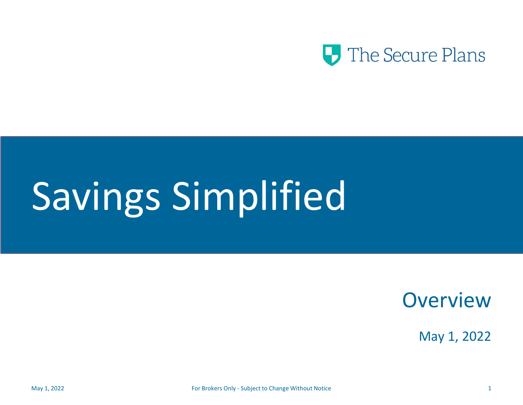

# Savings Simplified

**Overview** 

May 1, 2022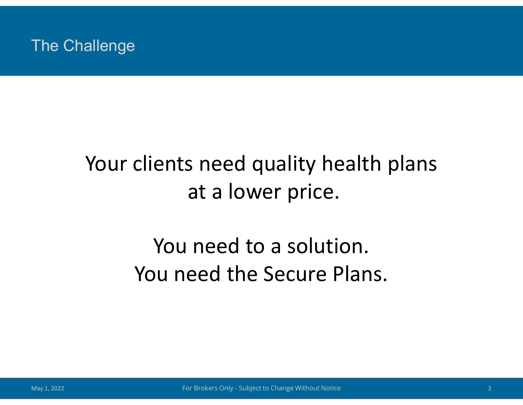#### The Challenge

#### Your clients need quality health plans at a lower price.

## You need to a solution. You need the Secure Plans.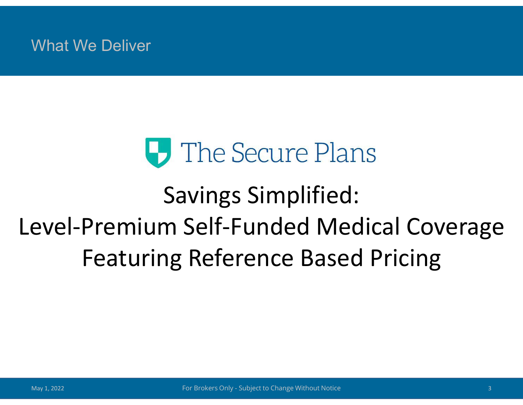What We Deliver

## **U** The Secure Plans

## Savings Simplified: Level-Premium Self-Funded Medical Coverage Featuring Reference Based Pricing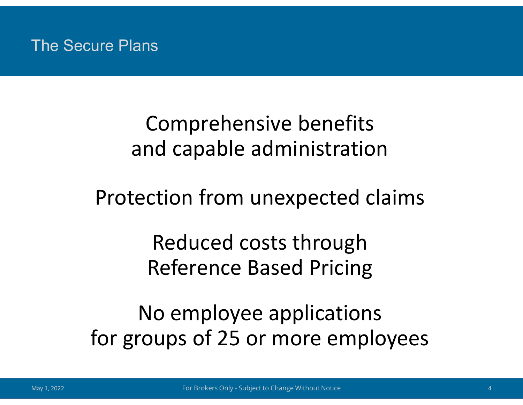#### The Secure Plans

#### Comprehensive benefits and capable administration

#### Protection from unexpected claims

Reduced costs through Reference Based Pricing

No employee applications for groups of 25 or more employees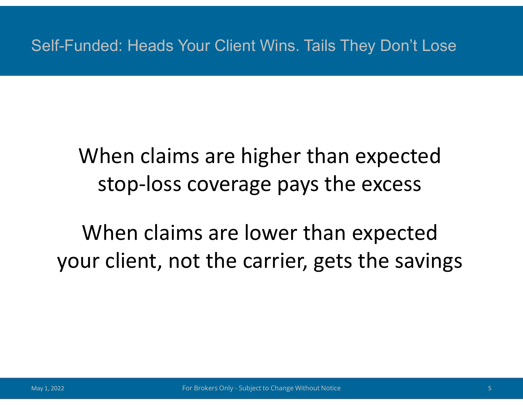Self-Funded: Heads Your Client Wins. Tails They Don't Lose

#### When claims are higher than expected stop-loss coverage pays the excess

When claims are lower than expected your client, not the carrier, gets the savings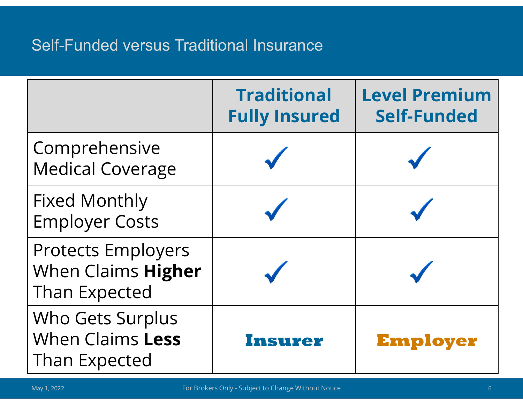#### Self-Funded versus Traditional Insurance

|                                                                         | <b>Traditional</b><br><b>Fully Insured</b> | <b>Level Premium</b><br><b>Self-Funded</b> |
|-------------------------------------------------------------------------|--------------------------------------------|--------------------------------------------|
| Comprehensive<br><b>Medical Coverage</b>                                |                                            |                                            |
| <b>Fixed Monthly</b><br><b>Employer Costs</b>                           |                                            |                                            |
| <b>Protects Employers</b><br>When Claims Higher<br><b>Than Expected</b> |                                            |                                            |
| Who Gets Surplus<br>When Claims Less<br>Than Expected                   | Insurer                                    | <b>Employer</b>                            |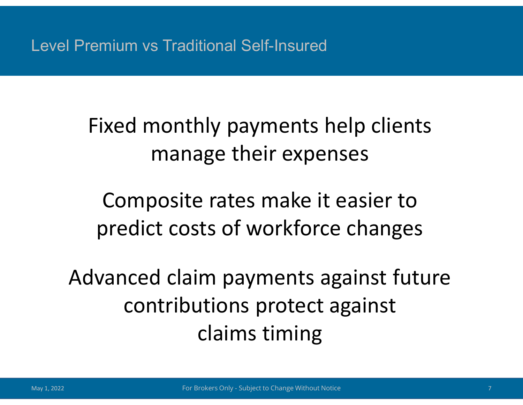Level Premium vs Traditional Self-Insured

Fixed monthly payments help clients manage their expenses

Composite rates make it easier to predict costs of workforce changes

Advanced claim payments against future contributions protect against claims timing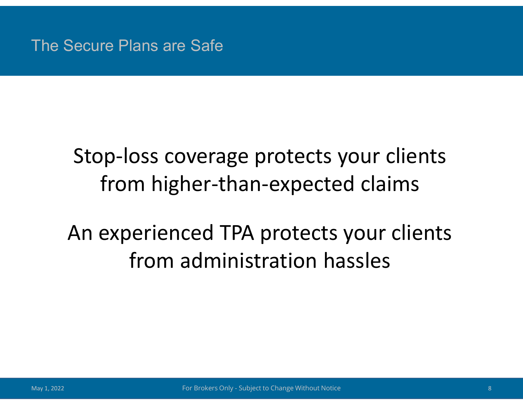The Secure Plans are Safe

#### Stop-loss coverage protects your clients from higher-than-expected claims

## An experienced TPA protects your clients from administration hassles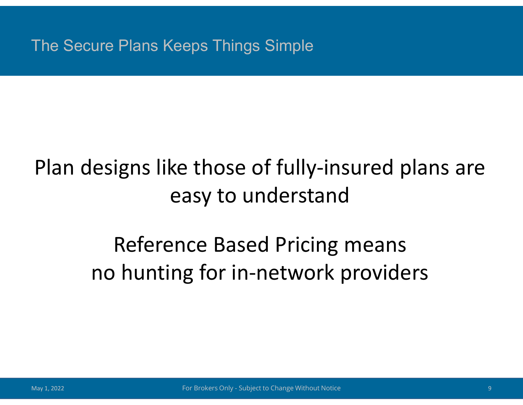The Secure Plans Keeps Things Simple

#### Plan designs like those of fully-insured plans are easy to understand

### Reference Based Pricing means no hunting for in-network providers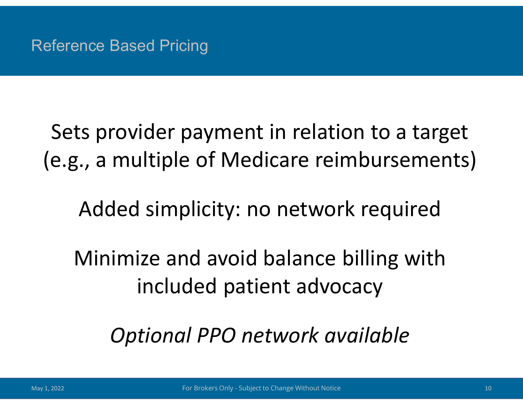Sets provider payment in relation to a target (e.g., a multiple of Medicare reimbursements)

Added simplicity: no network required

Minimize and avoid balance billing with included patient advocacy

*Optional PPO network available*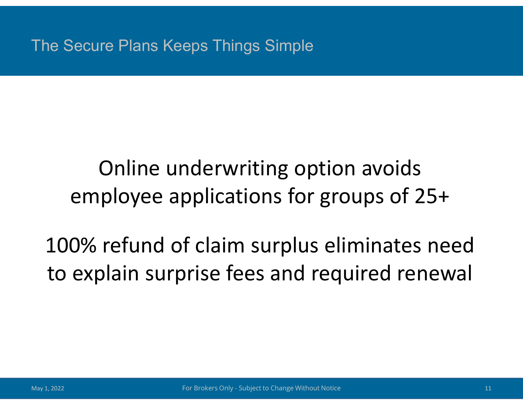The Secure Plans Keeps Things Simple

#### Online underwriting option avoids employee applications for groups of 25+

## 100% refund of claim surplus eliminates need to explain surprise fees and required renewal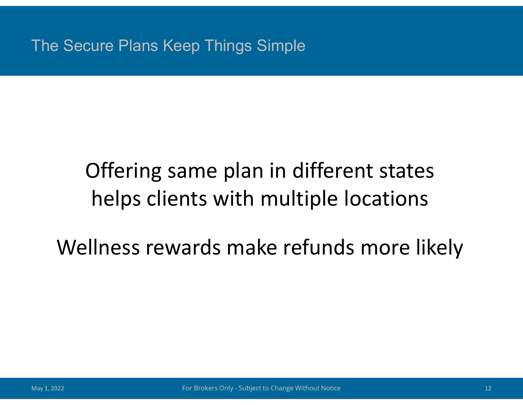The Secure Plans Keep Things Simple

### Offering same plan in different states helps clients with multiple locations

Wellness rewards make refunds more likely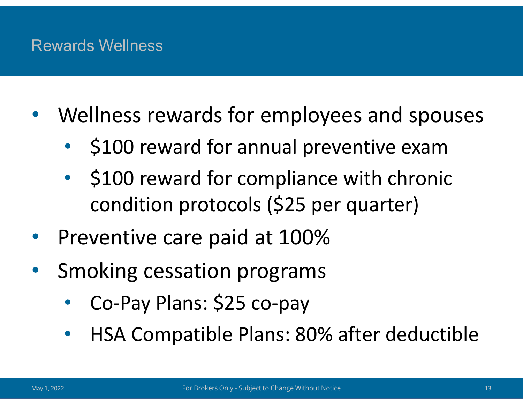#### Rewards Wellness

- Wellness rewards for employees and spouses
	- \$100 reward for annual preventive exam
	- \$100 reward for compliance with chronic condition protocols (\$25 per quarter)
- Preventive care paid at 100%
- Smoking cessation programs
	- Co-Pay Plans: \$25 co-pay
	- HSA Compatible Plans: 80% after deductible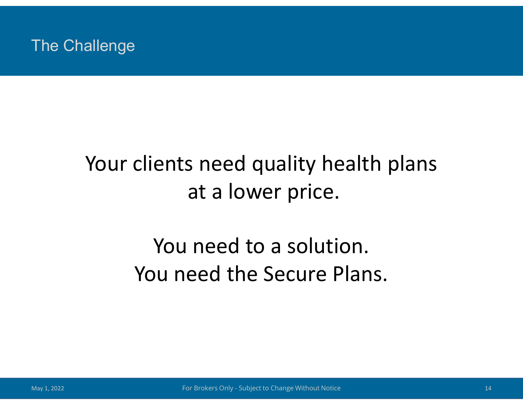#### The Challenge

#### Your clients need quality health plans at a lower price.

## You need to a solution. You need the Secure Plans.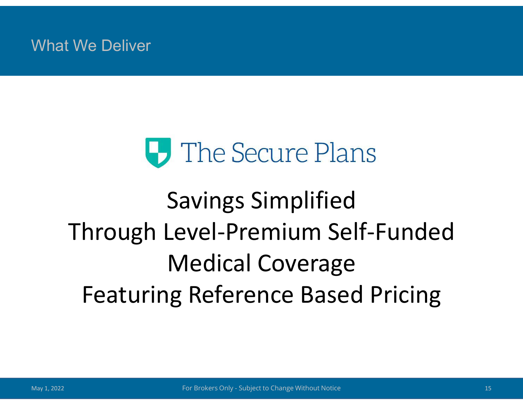What We Deliver

## **U** The Secure Plans

## Savings Simplified Through Level-Premium Self-Funded Medical Coverage Featuring Reference Based Pricing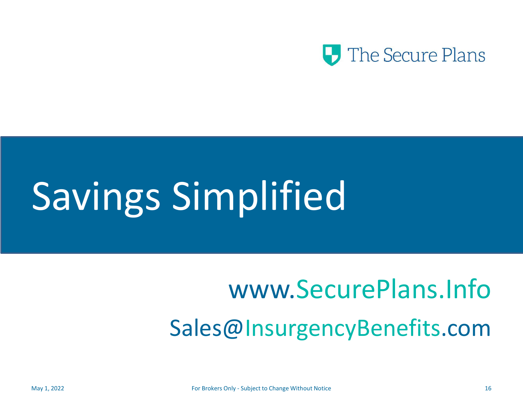

# Savings Simplified

## www.SecurePlans.Info Sales@InsurgencyBenefits.com